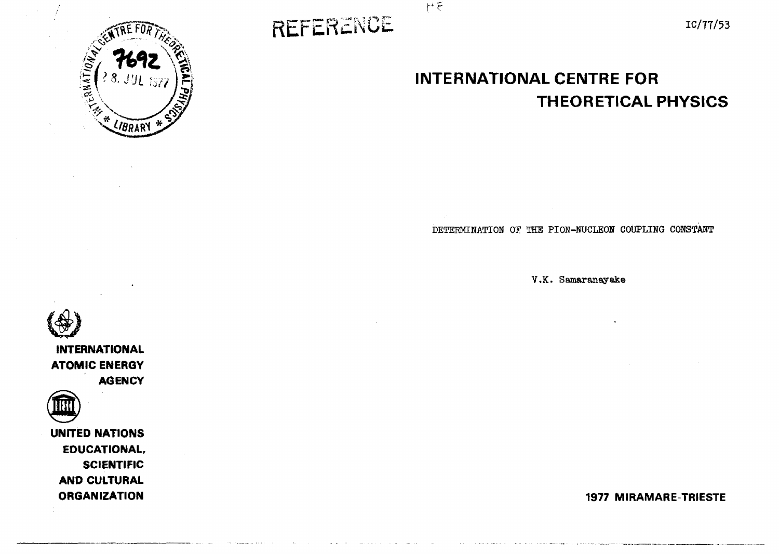

# REFERENCE

 $H \tilde{\epsilon}$ 

## **INTERNATIONAL CENTRE FOR THEORETICAL PHYSICS**

DETEEMINATION OF THE PIOK-NUCLEON COUPLING CONSTANT

V.K. Samaranayake





**UNITED NATIONS EDUCATIONAL, SCIENTIFIC AND CULTURAL ORGANIZATION**

**1977 MIRAMARE-TRIESTE**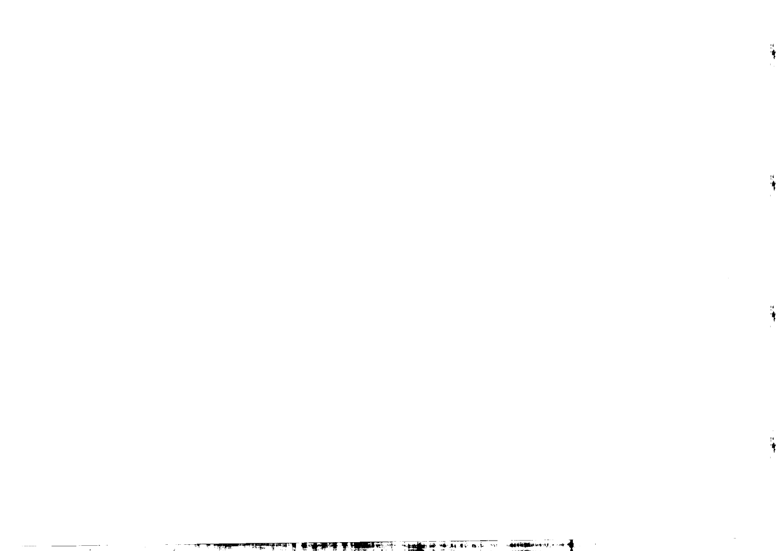**THE STATE OF THE STATE OF THE STATE OF THE STATE OF THE STATE OF THE STATE OF THE STATE OF THE STATE OF THE STATE OF THE STATE OF THE STATE OF THE STATE OF THE STATE OF THE STATE OF THE STATE OF THE STATE OF THE STATE OF** 

<u>ण राजकात</u>

 $\alpha$ 

 $\mathbf{r}_{\rm eff}$ 

> $\frac{12}{3}$  $\mathbf{r}$

> $\frac{12}{3}$

 $\ddot{\hat{\mathbf{r}}}$  $\mathbf{r}$  .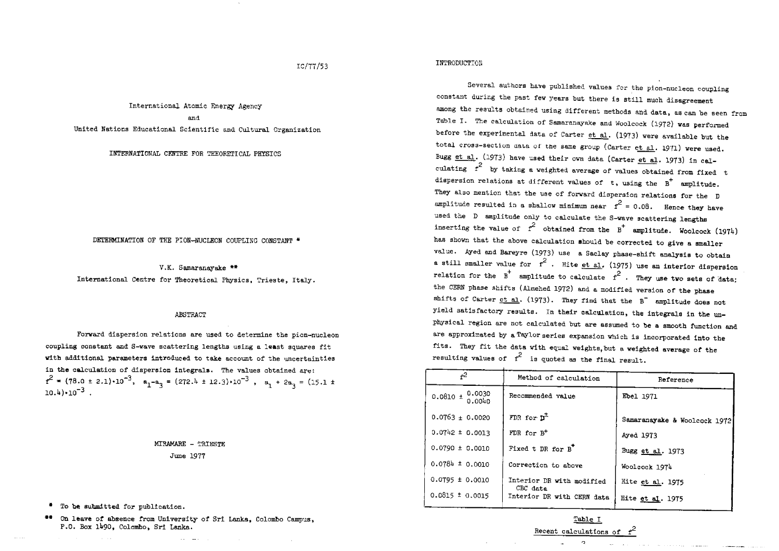## IC/TT/53

International Atomic Energy Agency and United Nations Educational Scientific and Cultural Organization

INTERNATIONAL CENTRE FOE THEORETICAL PHYSICS

DETERMINATION OF THE PIOH-HUCLEON COUPLING CONSTANT *\**

V.K. Samaranavake \*\* International Centre for Theoretical Physics, Trieste, Italy.

#### ABSTRACT

Forward dispersion relations are used to determine the pion-micleon coupling constant and S-vave scattering lengths using a least squares fit with additional parameters introduced to take account of the uncertainties in the calculation of dispersion integrals. The values obtained are:  $f^2 = (78.0 \pm 2.1) \cdot 10^{-3}$ ,  $a_1 - a_3 = (272.4 \pm 12.3) \cdot 10^{-3}$ ,  $a_1 + 2a_3 = (15.1 \pm 12.3) \cdot 10^{-3}$  $10.4$ )  $\cdot 10^{-3}$ .

> MIHAMARE - TRIESTE June 1977

To be submitted for publication.

On leave of absence from University of Sri Lanka, Colombo Campus, P.O. Box 1490, Colombo, Sri Lanka

## INTRODUCTION

Several authors have published values for the pion-nucleon coupling constant during the past few years but there is still much disagreement among the results obtained using different methods and data, as can be seen from Table I. The calculation of Samaranayake and Woolcock (1972) was performed before the experimental data of Carter  $et$  al. (1973) were available but the total cross-section data of the same group (Carter et al. 1971) were used. Eugg et al. (1973) have used their own data (Carter et al. 1973) In calculating  $f^2$  by taking a weighted average of values obtained from fixed t dispersion relations at different values of  $t$ , using the  $B^+$  amplitude. They also mention that the use of forward dispersion relations for the D amplitude resulted in a shallow minimum near  $r^2 = 0.08$ . Hence they have used the D amplitude only to calculate the S-wave scattering lengths inserting the value of  $f^2$  obtained from the  $B^+$  amplitude. Woolcock (1974) has shown that the above calculation ahould he corrected to give a smaller value. Ayed and Bareyre (1973) use a Saclay phase-shift analysis to obtain a still smaller value for  $r^2$ . Hite et al. (1975) use an interior dispersion relation for the  $B^+$  amplitude to calculate  $f^2$ . They use two sets of data: the CERN phase shifts (Almehed 1972) and a modified version of the phase shifts of Carter et al. (1973). They find that the  $B^-$  amplitude does not yield satisfactory results. In their calculation, the integrals in the unphysical region are not calculated but are assumed to be a smooth function and are approximated by a Taylor series expansion which is incorporated into the fits. They fit the data with equal weights, but a weighted average of the resulting values of  $r^2$  is quoted as the final result.

| $^{2}$                        | Method of calculation                  | Reference                    |
|-------------------------------|----------------------------------------|------------------------------|
| $0.0810 \pm 0.0030$<br>0.0040 | Recommended value                      | Ebel 1971                    |
| $0.0763 + 0.0020$             | FDR for $p^{\pm}$                      | Samaranayake & Woolcock 1972 |
| $0.0742 \pm 0.0013$           | FDR for $B^+$                          | Ayed 1973                    |
| $0.0790 \pm 0.0010$           | Fixed t DR for R <sup>*</sup>          | Bugg et al. 1973             |
| $0.0784 \pm 0.0010$           | Correction to above                    | Woolcock 1974                |
| $0.0795 \pm 0.0010$           | Interior DR with modified              | Hite et al. 1975             |
| $0.0815 \pm 0.0015$           | CBC data<br>Interior DR with CERN data | Hite et al. 1975             |

Table I Recent calculations of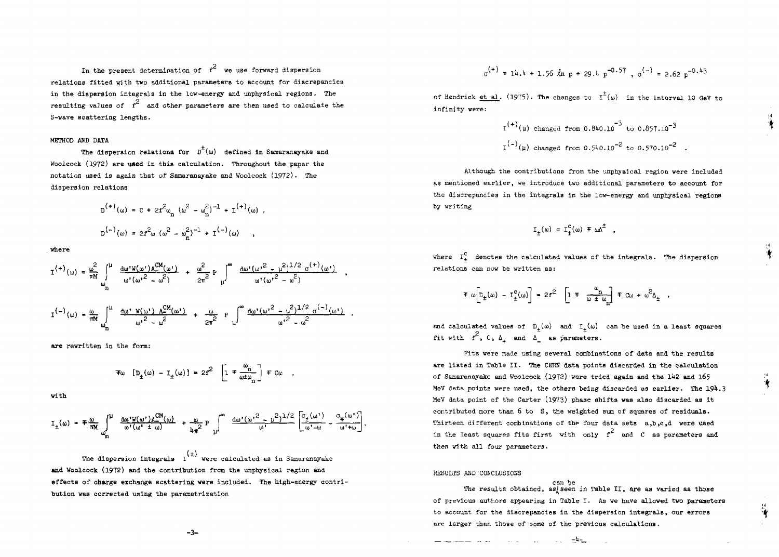In the present determination of  $f^2$  we use forward dispersion relations fitted with two additional parameters to account for discrepancies in the dispersion integrals in the low-energy and unphysical regions. The resulting values of  $r^2$  and other parameters are then used to calculate the S-wave scattering lengths.

## METHOD MD DATA

The dispersion relations for  $D^{\pm}(\omega)$  defined in Samaranayake and Woolcock (1972) are **used** in this calculation. Throughout the paper the notation used is again that of Samaranayake and Woolcock  $(1972)$ . The dispersion relations

$$
D^{(+)}(\omega) = C + 2f^{2}\omega_{n} (\omega^{2} - \omega_{n}^{2})^{-1} + I^{(+)}(\omega) ,
$$
  

$$
D^{(-)}(\omega) = 2f^{2}\omega (\omega^{2} - \omega_{n}^{2})^{-1} + I^{(-)}(\omega) ,
$$

where

$$
I^{(+)}(\omega) = \frac{\omega^2}{\pi M} \int_{\omega}^{\mu} \frac{d\omega' \Psi(\omega') \Delta_{\omega}^{CM}(\omega')}{\omega'(\omega')^2 - \omega^2} + \frac{\omega^2}{2\pi^2} P_{\mu} \int_{\omega}^{\infty} \frac{d\omega'(\omega')^2 - \mu^2}{\omega'(\omega')^2 - \omega^2} ,
$$
  

$$
I^{(-)}(\omega) = \frac{\omega}{\pi M} \int_{\omega}^{\mu} \frac{d\omega' W(\omega') \Delta_{\omega}^{CM}(\omega')}{\omega'^2 - \omega^2} + \frac{\omega}{2\pi^2} P_{\mu} \int_{\omega}^{\infty} \frac{d\omega'(\omega')^2 - \mu^2}{\omega'(\omega')^2 - \omega^2} + \frac{\omega}{2\pi^2} P_{\mu} \int_{\omega}^{\infty} \frac{d\omega'(\omega')^2 - \mu^2}{\omega'(\omega')^2 - \omega^2} + \frac{\omega}{2\pi^2} P_{\mu} \int_{\omega}^{\infty} \frac{d\omega'(\omega')^2 - \mu^2}{\omega'(\omega')^2 - \omega^2} + \frac{\omega}{2\pi^2} P_{\mu} \int_{\omega}^{\infty} \frac{d\omega'(\omega')^2 - \mu^2}{\omega'(\omega')^2 - \omega^2} + \frac{\omega}{2\pi^2} P_{\mu} \int_{\omega}^{\infty} \frac{d\omega'(\omega')^2 - \mu^2}{\omega'(\omega')^2 - \omega^2} + \frac{\omega}{2\pi^2} P_{\mu} \int_{\omega}^{\infty} \frac{d\omega'(\omega')^2 - \mu^2}{\omega'(\omega')^2 - \omega^2} + \frac{\omega}{2\pi^2} P_{\mu} \int_{\omega}^{\infty} \frac{d\omega'(\omega')^2 - \mu^2}{\omega'(\omega')^2 - \omega^2} + \frac{\omega}{2\pi^2} P_{\mu} \int_{\omega}^{\infty} \frac{d\omega'(\omega')^2 - \mu^2}{\omega'(\omega')^2 - \omega^2} + \frac{\omega}{2\pi^2} P_{\mu} \int_{\omega}^{\infty} \frac{d\omega'(\omega')^2 - \mu^2}{\omega'(\omega')^2 - \omega^2} + \frac{\omega}{2\pi^2} P_{\mu
$$

**are** rewritten in the form:

$$
\mp \omega \left[ D_{\pm}(\omega) - I_{\pm}(\omega) \right] = 2f^{2} \left[ 1 \pm \frac{\omega_{n}}{\omega \pm \omega_{n}} \right] \mp c \omega ,
$$

with

$$
I_{\pm}(\omega) = \mp \frac{\omega}{\pi M} \int_{\omega_{\mathbf{n}}}^{\mu} \frac{d\omega' \mathcal{H}(\omega') \Delta^{CM}(\omega)}{\omega'(\omega' + \omega)} + \frac{\omega}{\mu \pi^2} P_{\mu} \int_{\omega}^{\infty} \frac{d\omega'(\omega')^2 - \mu^2}{\omega'(\omega' + \omega^2)} \left[ \frac{\sigma_{\pm}(\omega')}{\omega' - \omega} - \frac{\sigma_{\pm}(\omega')}{\omega' + \omega} \right].
$$

The dispersion integrals  $\begin{pmatrix} 1 \\ 1 \end{pmatrix}$  were calculated as in Samaranayake **and** Woolcock (1972) and the contribution from the unphysical region and effects of charge exchange scattering were included. The high-energy contribution was corrected using the parametrization

$$
\sigma^{(+)} = 14.4 + 1.56
$$
  $\ln p + 29.4 p^{-0.57}$ ,  $\sigma^{(-)} = 2.62 p^{-0.43}$ 

of Hendrick et al. (1975). The changes to  $I^{\pm}(\omega)$  in the interval 10 GeV to infinity were:

$$
T^{(+)}(\mu)
$$
 changed from 0.840.10<sup>-3</sup> to 0.857.10<sup>-3</sup>  
 $T^{(-)}(\mu)$  changed from 0.540.10<sup>-2</sup> to 0.570.10<sup>-2</sup>

Although the contrihutions from the unphysical region were included as mentioned earlier, we introduce two additional parameters to account for the discrepancies in the integrals in the low—energy and unphysical regions by writing

$$
I_{\pm}(\omega) = I_{\pm}^{c}(\omega) \mp \omega \Delta^{\pm} ,
$$

where  $I_+^C$  denotes the calculated values of the integrals. The dispersion relations can now he written as:

$$
\mathfrak{F} \omega \left[ D_{\pm}(\omega) - I_{\pm}^{c}(\omega) \right] = 2r^{2} \left[ 1 \mp \frac{\omega_{\mathrm{n}}}{\omega \pm \omega_{\mathrm{n}}} \right] \mp c\omega + \omega^{2} \Delta_{\pm}
$$

and calculated values of  $D_+(\omega)$  and  $I_+(\omega)$  can be used in a least squares fit with  $f^2$ , C,  $\Delta_+$  and  $\Delta_-$  as parameters.

Fits were made using several combinations of data and the results are listed in Table II. The CEHH data points discarded in the calculation of Samaranayake and Woolcock (1972) were tried again and the 142 and 165 MeV data points were used, the others being discarded as earlier. The  $194.3$ MeV data point of the Carter (1973) phase shifts was also discarded as it contributed more than 6 to S, the weighted sum of squares of residuals. Thirteen different combinations of the four data sets  $a, b, c, d$  were used in the least squares fits first with only  $\text{ }f^{2}\text{ }$  and C as parameters and then with all four parameters.

#### RESULTS *HMD* COHCLUSIONS

can be The results obtained, as seen in Table II, are as varied as those of previous authors appearing in Table I. As we have allowed two parameters to account for the discrepancies in the dispersion integrals, our errors are larger than those of some of the previous calculations.

**... \_ . -it -**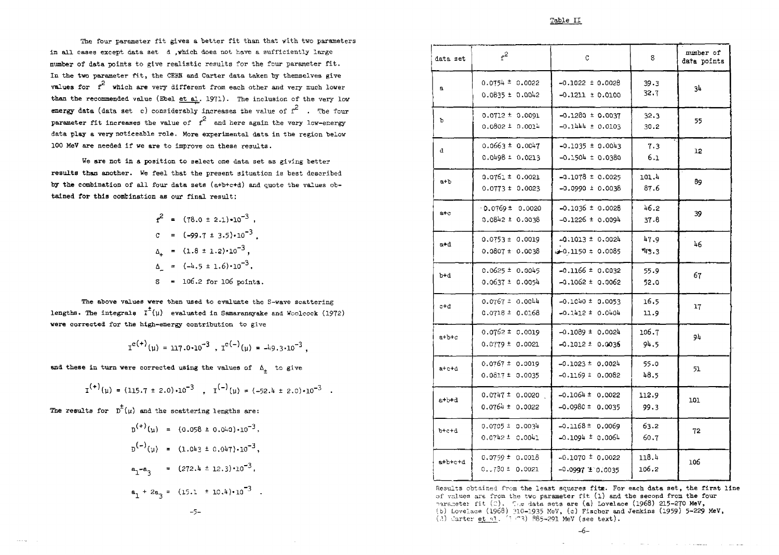## **Table II**

The four parameter fit gives a better fit than that with two parameters In all eases except data set d .which does not have a sufficiently large number of data points to give realistic results for the four parameter fit. In the two parameter fit, the GEKH and Carter data taken by themselves give values for  $r^2$  which are very different from each other and very much lower than the recommended value (Ebel et al. 1971). The inclusion of the very low energy data (data set c) considerably increases the value of  $r^2$ . The four parameter fit increases the value of  $f^2$  and here again the very low-energy data play a very noticeable role. More experimental data in the region below 100 MeV are needed if we are to improve on these results.

We are not in a position to select one data set as giving better results tban another. We feel that the present situation is test described by the combination of all four data sets (a+b+c+d) and quote the values obtained **for** this comtination as our final result:

|           | $r^2$ = (78.0 ± 2.1)-10 <sup>-3</sup> ,          |  |
|-----------|--------------------------------------------------|--|
|           | c = $(-99.7 \pm 3.5) \cdot 10^{-3}$              |  |
|           | $\Delta_{\perp} = (1.8 \pm 1.2) \cdot 10^{-3}$ , |  |
|           | $\Delta = (-4.5 \pm 1.6) \cdot 10^{-3}$ .        |  |
| $S^{\pm}$ | $= 106.2$ for 106 points.                        |  |

**The above values vere then used to evaluate the S-wave scattering lengths.** The integrals  $I^{\pm}(\mu)$  evaluated in Samaranayake and Woolcock (1972) **were corrected for the high-energy contribution to give**

$$
T^{c(+)}(\mu) = 117.0 \cdot 10^{-3}, T^{c(-)}(\mu) = -49.3 \cdot 10^{-3},
$$

and these in turn were corrected using the values of  $\Lambda_{+}$  to give

$$
I^{(+)}(\mu) = (115.7 \pm 2.0) \cdot 10^{-3} , I^{(-)}(\mu) = (-52.4 \pm 2.0) \cdot 10^{-3} .
$$

The results for  $D^{t}(u)$  and the scattering lengths are:

$$
D^{(+)}(\mu) = (0.058 \pm 0.040) \cdot 10^{-3},
$$
  
\n
$$
D^{(-)}(\mu) = (1.043 \pm 0.047) \cdot 10^{-3},
$$
  
\n
$$
A_1 - A_3 = (272.4 \pm 12.3) \cdot 10^{-3},
$$
  
\n
$$
A_1 + 2A_3 = (15.1 \pm 10.4) \cdot 10^{-3}.
$$

number of  $f^2$ C S data set data points  $-0.1022 \pm 0.0028$ 39-3  $0.0754 \pm 0.0022$ 31\* a 32.7 -0.1211 ± 0.0100  $0.0835 \pm 0.0042$ 32.3 0.0712 + 0.0091  $-0.1280 + 0.0037$ b 55 30.2 0.0802 ± 0.0011\* -0.11\*1\*1\* ± 0.0103  $0.0663 \pm 0.0047$ 7.3  $-0.1035 \pm 0.0043$ d 12 6.1 0.01\*98 ± 0.0213 -0.1501\* ± 0.0380 101.1\* 0.0761 ± 0.0021 -0.1078 ± 0.0025 a+t 89 87.6 -0.0990 ± 0.0038 0.0773 ± 0.0023  $46.2$ -0.1036 ± 0.0028 0.0769 + 0.0020 a+c 39 0.081\*2 ± 0.0038 -0.1226 + 0.0091\* 37.8 1\*7.9 0.0753 ± 0.0019  $-0.1013 \pm 0.0024$ a+d 1\*6  $143.3$ O.O807 ± 0.0038 i\*-o\_.ii5o \$ 0.0085 0.0625 ± 0.001\*5 -0.1166 ± 0.0032 55.9 67 b+d 52.0 0.0637 ± 0.0051\* -0.1062 ± 0.0062 -O.lQltQ ± 0.0053 16.5 0.0767 ± O.O0U1\* c+d 17 11.9 O.0718 ± 0.0168  $-0.1412 \pm 0.0404$ 106.7 0.07S2 ± 0.0019 -0.1089 ± 0.0021\* 9\*i a+b+c  $94.5$ 0.0779 ± 0.0021 -0.1012 ± 0.003S 55.0 0.0767 ± 0.0019  $-0.1023 \pm 0.0024$ a+c+d 51 48.5 -O.II69 ± 0.0082 0.0817 ± 0.0035  $-0.1064 \pm 0.0022$ 112.9 0.071\*7 ± 0.0020 a+b+d 101 99.3 Q.0l6h ± 0.0022 -0.0980 ± 0.0035 63.2 0.0705 ± 0.0031+ -0.1168± 0.0069 b+c+d 72 0.0742 ± 0.0041 60.7 -0.1091\* ± 0.0061\* 118.1\* 0.0759<sup>±</sup> 0.0018 -0.1070 ± 0.0022 a+b+c+d 106 106.2 0.^730 ± 0.0021 -0.0997 "± 0.0035 i

Results obtained from the Iea3t **squares fits. For each data set, the first line** of values are from the two **parameter fit (l) and the second from the four -iire^-eter** fit *1.2).* **T:.e data sets are (a) Lovelace (1968) 215-270 MeV,** (b) Lovelace (1968) 310-1935 MeV, (c) Fischer and Jenkins (1959) 5-229 MeV, (.1) Carter et il , '• *"^)* R85-291 **MeV (see text).**

and the second contract of the contract of the community of the contract with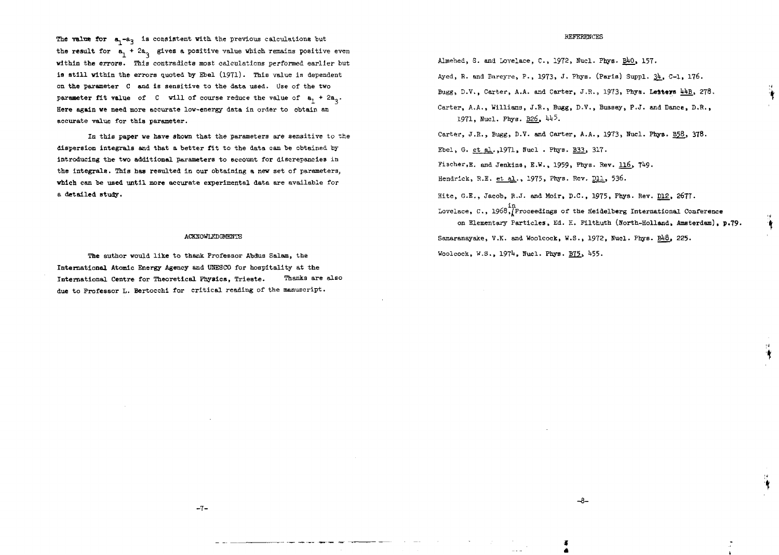The value for  $a_1-a_3$  is consistent with the previous calculations but the result for  $a_1 + 2a_2$  gives a positive value which remains positive even vithin the errorB. This contradicts most calculations performed earlier but is still within the errors quoted by Ebel (1971). This value is dependent on the parameter C and is sensitive to the data used. Uae of the two parameter fit value of C will of course reduce the value of  $a_1 + 2a_2$ . Here again we need more accurate low-energy data in order to obtain an accurate value for this parameter.

In this paper we have shown that the parameters are sensitive to the dispersion integrals and that a better fit to the data can be obtained by introducing the tvo additional parameters to account for discrepancies in the integrals. This has resulted in our obtaining a new set of parameters, which can be used until more accurate experimental data are available for a detailed study.

#### ACKNOWLEDGMENTS

The author would like to thank Professor Abdus Salam, the International Atomic Energy Agency and UNESCO for hospitality at the International Centre for Theoretical Fhyaics, Trieste. Thanks are also due to Professor L. Bertocchi for critical reading of the manuscript.

-7-

## REFERENCES

Almehed, S. and Lovelace, C., 1972, Nucl. Phys. B40, 157.

Ayed, R. and Bareyre, P., 1973, J. Phys. (Paris) Suppl. 34, C-1, 176.

Bugg, D.V., Carter, A.A. and Carter, J.R., 1973, Phys. Letters 44B, 278.

Carter, A,A., Williams, J.E., Bugg, D.V., Bussey, P.J. and Dance, D.R., 1971, Nucl. Phys. B26, 445.

Carter, J.R., Bugg, D.V. and Carter, A.A., 1973, Nucl. Phya. B58, 378.

Ebel, G. et al.,1971, Nucl . Phys. B33., 317.

Fischer, E. and Jenkins, E.W., 1959, Phys. Rev. 116, 749.

Hendrick, R.E. et al.. 1975, Phys. Bev. Dll, 536.

Hite, G.E., Jacob, R.J. and Moir, D.C., 1975, Phys. Rev. D12, 2677. in Lovelace, c , 1968,^Proceedings of the Heidelberg International Conference on Elementary Particles, Ed. E. Filthuth (North-Holland, Amsterdam), p.79. Samaranayake, V.K. and Woolcock, W.S., 1972, Nucl. Phys. B48, 225. Woolcock, W.S., 1974, Nucl. Phys. B75, 455.

-8-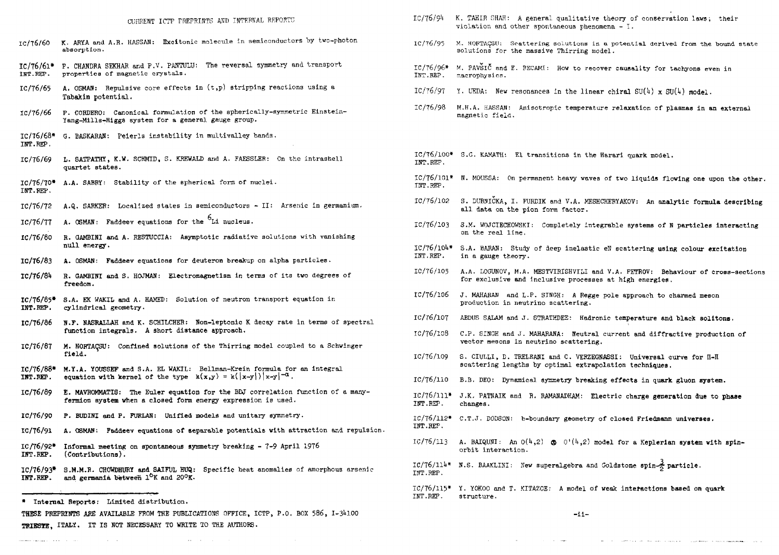### CURRENT ICTP PREPRINTS AID IffTEPNAL REPORTS

- IC/76/60 K. ARY.A and A.R. HASSAN: Exeitonic molecule in semiconductors hy two-photon absorption .
- IC/76/61\* P. CHANDRA SEKHAR and P.V. PANTULU: The reversal symmetry and transport INT.REP. properties of magnetic crystals. properties of magnetic crystals.
- IC/76/65 A. OSMAN: Repulsive core effects in (t,p) stripping reactions using a Tabakin potential.
- IC/76/66 P. CORDERO: Canonical formulation of the Bpherically-aymmetric Einstein-Yang-Mills-Higgs system for a general gauge group.
- IC/76/68<sup>11</sup> G. BASKARAN: Peierls instability in multivalley bands. INT.REP.
- IC/76/69 L. SATPATHY, K.W. SCHMID, S. fCREWALD and A. FAESSLER: On the intrashell quartet states.
- IC/76/70\* A.A. SABRY: Stability of the spherical form of nuclei. INT.REP.
- IC/76/72 A.Q. SARKEB: Localized states in semiconductors II: Arsenic in germanium.
- IC/76/77 A. OSMAN: Faddeev equations for the  $6_{L1}$  nucleus.
- IC/76/80 R. GAMBINI and A. RESTUCCIA: Asymptotic radiative solutions with vanishing null energy.
- IC/T6/83 A. OSMAH: Faddeev equations for deuteron breakup on alpha particles.
- IC/76/8U R. GAMBINI and S. HOJMAIJ: Electromagnet ism in terms of its two degrees of freedom.

IC/76/85\* S.A. EX WAKIL and A. HAMED: Solution of neutron transport equation in INT.REP. cylindrical geometry. cylindrical geometry.

- IC/76/86 H.F. NASRALLAH and K. SCHILCHER: Non-leptonic K decay rate in terms of spectral function integrals. A short distance approach,
- IC/76/87 M. KORTACSU: Confined solutions of the Thirring model coupled to a Schwinger field.
- IC/76/88\* M.T.A. YOUSSEF and S.A. EL WAKIL: Bellman-Krein formula for an integral INT. REF. equation with kernel of the type  $k(x,y) = k(|x-y|)|x-y|^{-\alpha}$ .
- IC/76/89 E. MAVROMMATIS: The Euler equation for the BBJ correlation function of a manyfermion system when a closed form energy expression is used.
- IC/76/90 P. BUDINI and P. FURLAH: Unified models and unitary symmetry.

وللمراجع والمتحدث وسترمش فستحلط

IC/76/91 A. OSKAH: Faddeev equations of separable potentials with attraction and repulsion.

IC/76/92\* Informal meeting on spontaneous symmetry breaking  $-7-9$  April 1976<br>INT.REP. (Contributions).  $(Contributions).$ 

IC/76/93\* S.M.M.R. CHOVDHURY and SAIFJL HUQ: Specific heat anomalies of amorphous arsenic INT.REP. and germania between  $1^{\circ}$ K and 20 $^{\circ}$ K.

sales and state the state

\* Internal Reports: Limited distribution. THESE PREPRINTS ARE AVAILABLE FROM THE PUBLICATIONS OFFICE, ICTP, P.O. BOX 586, I-34100 TRIESTE, ITALY. IT IS NOT NECESSARY TO WRITE TO THE AUTHORS.

- IC/76/94 K. TAHIR SHAH: A general qualitative theory of conservation laws; their violation and other spontaneous phenomena - I.
- IC/76/95 M. HORTAGSU: Seattering solutions in a potential derived from the bound state solutions for the massive Thirring model.
- IC/76/96\* M. PAVSlC and E. RECAHI: How to recover causality for tachyons even in INT.HEP. macrophysics.
- IC/76/97 Y. UEDA: New resonances in the linear chiral  $SU(4) \times SU(4)$  model.
- IC/76/98 H.H.A. HASSAN: Anisotropic temperature relaxation of plasmas in an external magnetic field.
- IC/76/1OO\* S.G. KAMATH: El transitions in the Harari quark model. INT.REP.
- IC/76/IOI\* N. MOUSSA: On permanent heavy waves of two liquids flowing one upon the other. INT.REP.
- IC/76/102 S. DUBNICKA, I. FURDIK and V.A. MESHCHERYAKOV: An analytic formula describing all data on the pion form factor.
- IC/76/103 S.M. WOJCIECHOWSKI: Completely integrable systems of N particles interacting on the real line,
- $IC/76/10<sup>4</sup>$  S.A. BARAH: Study of deep inelastic eN scattering using colour excitation  $INT. REP$ . in a gauge theory. in a gauge theory.
- IC/76/105 A.A. LOGUNOV, M.A. MESTVIRISHVILI and V.A. PETROV: Behaviour of cross-sections for exclusive and inclusive processes at high energies,
- IC/76/106 J. MAHARAN and L.P. SINGH: A Regge pole approach to charmed meson production in neutrino scattering.
- IC/76/107 ABDUS SALAM and J. STRATHDEE: Hadronic temperature and black aolitons.
- IC/76/108 C.P. SINGH and J. MAHARANA: Heutral current and diffractive production of vector mesons in neutrino scattering.
- IC/76/109 S. CIULLI, D. TRELEANI and C. VISZEGMASSI: Universal curve for II-II scattering lengths by optimal extrapolation techniques.
- IC/76/IIO B.B. DEO: Dynamical symmetry breaking effects in quark gluon systeas.
- IC/76/111\* J.K. PATNAIK and R. RAMANADHAM: Electric charge generation due to phase INT.REP. changes.
- IC/76/112\* C.T.J. DODSON: b-boundary geometry of closed Friedmann universes. INT.REP.
- IC/76/113 A. BAIQUNI: An  $O(4,2)$  **3**  $O'(4,2)$  model for a Keplerian system with spinorbit interaction.
- IC/76/lllt\* N.S. BAAKLINI: New superalgebra and Goldstone spin^4 particle. INT.REP.
- IC/76/115\* Y. YOKOO and T. KITAZOE: A model of weak interactions based on quark INT.REP. structure.

.<br>1980 - Jacob Partis, amerikansk matematiker († 1930)